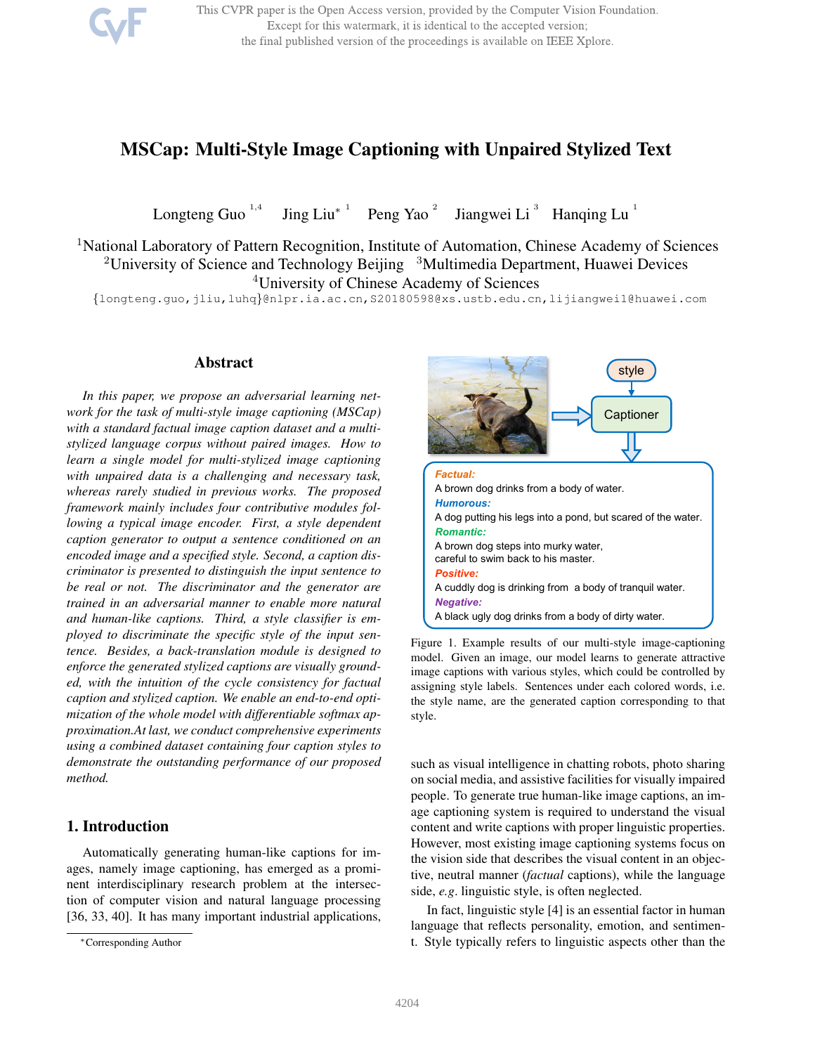This CVPR paper is the Open Access version, provided by the Computer Vision Foundation. Except for this watermark, it is identical to the accepted version; the final published version of the proceedings is available on IEEE Xplore.

# MSCap: Multi-Style Image Captioning with Unpaired Stylized Text

Longteng Guo<sup>1,4</sup> Jing Liu<sup>\*</sup> Peng Yao<sup>2</sup> Jiangwei Li<sup>3</sup> Hanqing Lu<sup>1</sup>

<sup>1</sup>National Laboratory of Pattern Recognition, Institute of Automation, Chinese Academy of Sciences <sup>2</sup>University of Science and Technology Beijing <sup>3</sup>Multimedia Department, Huawei Devices <sup>4</sup>University of Chinese Academy of Sciences

{longteng.guo,jliu,luhq}@nlpr.ia.ac.cn,S20180598@xs.ustb.edu.cn,lijiangwei1@huawei.com

### Abstract

*In this paper, we propose an adversarial learning network for the task of multi-style image captioning (MSCap) with a standard factual image caption dataset and a multistylized language corpus without paired images. How to learn a single model for multi-stylized image captioning with unpaired data is a challenging and necessary task, whereas rarely studied in previous works. The proposed framework mainly includes four contributive modules following a typical image encoder. First, a style dependent caption generator to output a sentence conditioned on an encoded image and a specified style. Second, a caption discriminator is presented to distinguish the input sentence to be real or not. The discriminator and the generator are trained in an adversarial manner to enable more natural and human-like captions. Third, a style classifier is employed to discriminate the specific style of the input sentence. Besides, a back-translation module is designed to enforce the generated stylized captions are visually grounded, with the intuition of the cycle consistency for factual caption and stylized caption. We enable an end-to-end optimization of the whole model with differentiable softmax approximation.At last, we conduct comprehensive experiments using a combined dataset containing four caption styles to demonstrate the outstanding performance of our proposed method.*

## 1. Introduction

Automatically generating human-like captions for images, namely image captioning, has emerged as a prominent interdisciplinary research problem at the intersection of computer vision and natural language processing [36, 33, 40]. It has many important industrial applications,



Figure 1. Example results of our multi-style image-captioning model. Given an image, our model learns to generate attractive image captions with various styles, which could be controlled by assigning style labels. Sentences under each colored words, i.e. the style name, are the generated caption corresponding to that style.

such as visual intelligence in chatting robots, photo sharing on social media, and assistive facilities for visually impaired people. To generate true human-like image captions, an image captioning system is required to understand the visual content and write captions with proper linguistic properties. However, most existing image captioning systems focus on the vision side that describes the visual content in an objective, neutral manner (*factual* captions), while the language side, *e.g*. linguistic style, is often neglected.

In fact, linguistic style [4] is an essential factor in human language that reflects personality, emotion, and sentiment. Style typically refers to linguistic aspects other than the

<sup>∗</sup>Corresponding Author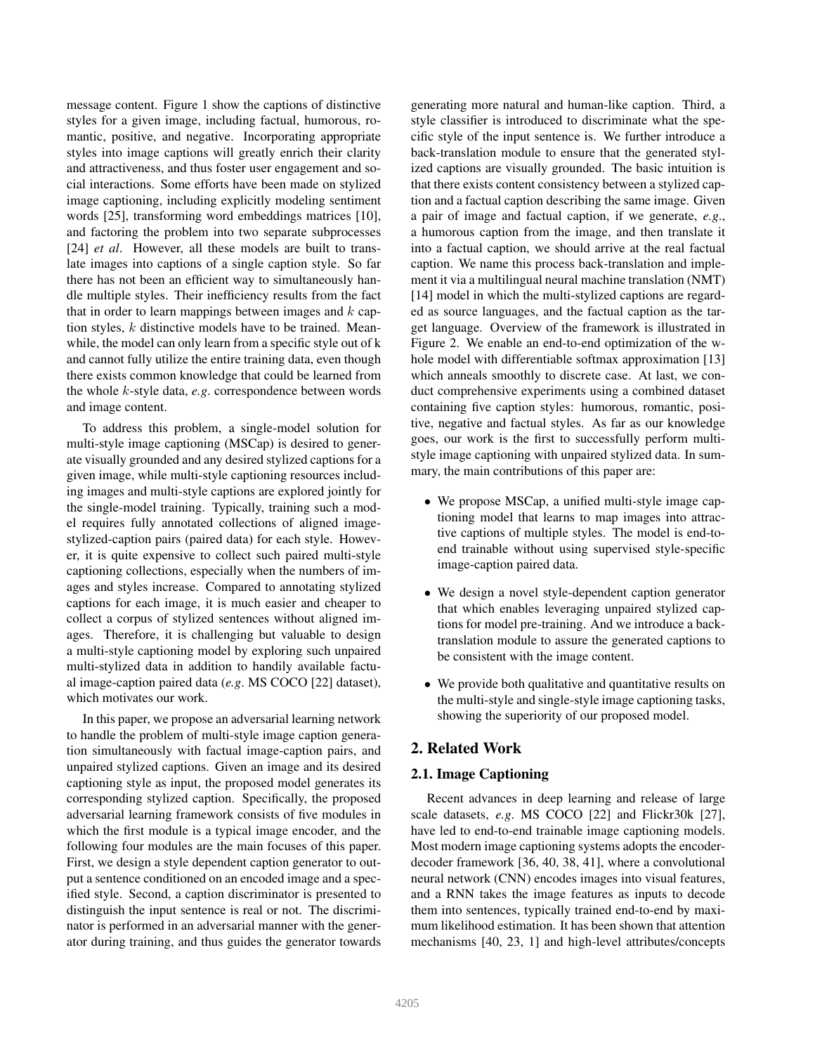message content. Figure 1 show the captions of distinctive styles for a given image, including factual, humorous, romantic, positive, and negative. Incorporating appropriate styles into image captions will greatly enrich their clarity and attractiveness, and thus foster user engagement and social interactions. Some efforts have been made on stylized image captioning, including explicitly modeling sentiment words [25], transforming word embeddings matrices [10], and factoring the problem into two separate subprocesses [24] *et al.* However, all these models are built to translate images into captions of a single caption style. So far there has not been an efficient way to simultaneously handle multiple styles. Their inefficiency results from the fact that in order to learn mappings between images and  $k$  caption styles,  $k$  distinctive models have to be trained. Meanwhile, the model can only learn from a specific style out of k and cannot fully utilize the entire training data, even though there exists common knowledge that could be learned from the whole k-style data, *e.g*. correspondence between words and image content.

To address this problem, a single-model solution for multi-style image captioning (MSCap) is desired to generate visually grounded and any desired stylized captions for a given image, while multi-style captioning resources including images and multi-style captions are explored jointly for the single-model training. Typically, training such a model requires fully annotated collections of aligned imagestylized-caption pairs (paired data) for each style. However, it is quite expensive to collect such paired multi-style captioning collections, especially when the numbers of images and styles increase. Compared to annotating stylized captions for each image, it is much easier and cheaper to collect a corpus of stylized sentences without aligned images. Therefore, it is challenging but valuable to design a multi-style captioning model by exploring such unpaired multi-stylized data in addition to handily available factual image-caption paired data (*e.g*. MS COCO [22] dataset), which motivates our work.

In this paper, we propose an adversarial learning network to handle the problem of multi-style image caption generation simultaneously with factual image-caption pairs, and unpaired stylized captions. Given an image and its desired captioning style as input, the proposed model generates its corresponding stylized caption. Specifically, the proposed adversarial learning framework consists of five modules in which the first module is a typical image encoder, and the following four modules are the main focuses of this paper. First, we design a style dependent caption generator to output a sentence conditioned on an encoded image and a specified style. Second, a caption discriminator is presented to distinguish the input sentence is real or not. The discriminator is performed in an adversarial manner with the generator during training, and thus guides the generator towards generating more natural and human-like caption. Third, a style classifier is introduced to discriminate what the specific style of the input sentence is. We further introduce a back-translation module to ensure that the generated stylized captions are visually grounded. The basic intuition is that there exists content consistency between a stylized caption and a factual caption describing the same image. Given a pair of image and factual caption, if we generate, *e.g*., a humorous caption from the image, and then translate it into a factual caption, we should arrive at the real factual caption. We name this process back-translation and implement it via a multilingual neural machine translation (NMT) [14] model in which the multi-stylized captions are regarded as source languages, and the factual caption as the target language. Overview of the framework is illustrated in Figure 2. We enable an end-to-end optimization of the whole model with differentiable softmax approximation [13] which anneals smoothly to discrete case. At last, we conduct comprehensive experiments using a combined dataset containing five caption styles: humorous, romantic, positive, negative and factual styles. As far as our knowledge goes, our work is the first to successfully perform multistyle image captioning with unpaired stylized data. In summary, the main contributions of this paper are:

- We propose MSCap, a unified multi-style image captioning model that learns to map images into attractive captions of multiple styles. The model is end-toend trainable without using supervised style-specific image-caption paired data.
- We design a novel style-dependent caption generator that which enables leveraging unpaired stylized captions for model pre-training. And we introduce a backtranslation module to assure the generated captions to be consistent with the image content.
- We provide both qualitative and quantitative results on the multi-style and single-style image captioning tasks, showing the superiority of our proposed model.

## 2. Related Work

## 2.1. Image Captioning

Recent advances in deep learning and release of large scale datasets, *e.g*. MS COCO [22] and Flickr30k [27], have led to end-to-end trainable image captioning models. Most modern image captioning systems adopts the encoderdecoder framework [36, 40, 38, 41], where a convolutional neural network (CNN) encodes images into visual features, and a RNN takes the image features as inputs to decode them into sentences, typically trained end-to-end by maximum likelihood estimation. It has been shown that attention mechanisms [40, 23, 1] and high-level attributes/concepts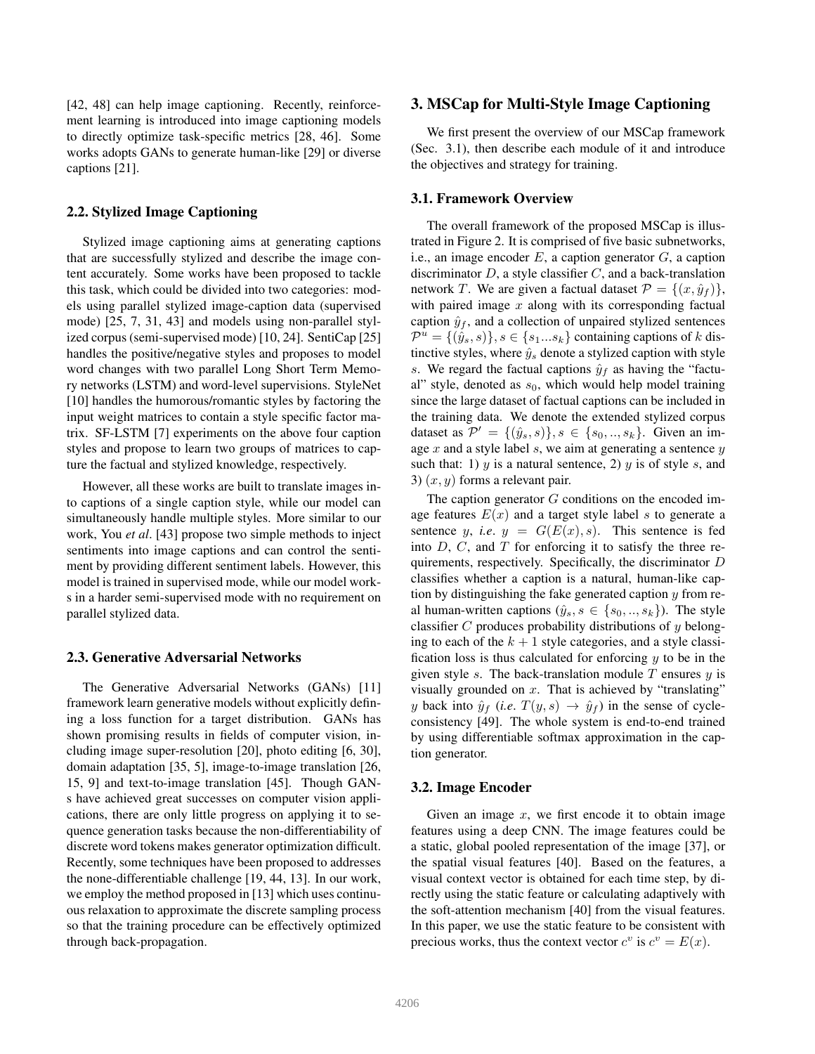[42, 48] can help image captioning. Recently, reinforcement learning is introduced into image captioning models to directly optimize task-specific metrics [28, 46]. Some works adopts GANs to generate human-like [29] or diverse captions [21].

## 2.2. Stylized Image Captioning

Stylized image captioning aims at generating captions that are successfully stylized and describe the image content accurately. Some works have been proposed to tackle this task, which could be divided into two categories: models using parallel stylized image-caption data (supervised mode) [25, 7, 31, 43] and models using non-parallel stylized corpus (semi-supervised mode) [10, 24]. SentiCap [25] handles the positive/negative styles and proposes to model word changes with two parallel Long Short Term Memory networks (LSTM) and word-level supervisions. StyleNet [10] handles the humorous/romantic styles by factoring the input weight matrices to contain a style specific factor matrix. SF-LSTM [7] experiments on the above four caption styles and propose to learn two groups of matrices to capture the factual and stylized knowledge, respectively.

However, all these works are built to translate images into captions of a single caption style, while our model can simultaneously handle multiple styles. More similar to our work, You *et al*. [43] propose two simple methods to inject sentiments into image captions and can control the sentiment by providing different sentiment labels. However, this model is trained in supervised mode, while our model works in a harder semi-supervised mode with no requirement on parallel stylized data.

#### 2.3. Generative Adversarial Networks

The Generative Adversarial Networks (GANs) [11] framework learn generative models without explicitly defining a loss function for a target distribution. GANs has shown promising results in fields of computer vision, including image super-resolution [20], photo editing [6, 30], domain adaptation [35, 5], image-to-image translation [26, 15, 9] and text-to-image translation [45]. Though GANs have achieved great successes on computer vision applications, there are only little progress on applying it to sequence generation tasks because the non-differentiability of discrete word tokens makes generator optimization difficult. Recently, some techniques have been proposed to addresses the none-differentiable challenge [19, 44, 13]. In our work, we employ the method proposed in [13] which uses continuous relaxation to approximate the discrete sampling process so that the training procedure can be effectively optimized through back-propagation.

#### 3. MSCap for Multi-Style Image Captioning

We first present the overview of our MSCap framework (Sec. 3.1), then describe each module of it and introduce the objectives and strategy for training.

#### 3.1. Framework Overview

The overall framework of the proposed MSCap is illustrated in Figure 2. It is comprised of five basic subnetworks, i.e., an image encoder  $E$ , a caption generator  $G$ , a caption discriminator  $D$ , a style classifier  $C$ , and a back-translation network T. We are given a factual dataset  $\mathcal{P} = \{(x, \hat{y}_f)\}\,$ , with paired image  $x$  along with its corresponding factual caption  $\hat{y}_f$ , and a collection of unpaired stylized sentences  $\mathcal{P}^u = \{(\hat{y}_s, s)\}, s \in \{s_1...s_k\}$  containing captions of k distinctive styles, where  $\hat{y}_s$  denote a stylized caption with style s. We regard the factual captions  $\hat{y}_f$  as having the "factual" style, denoted as  $s_0$ , which would help model training since the large dataset of factual captions can be included in the training data. We denote the extended stylized corpus dataset as  $\mathcal{P}' = \{(\hat{y}_s, s)\}, s \in \{s_0, ..., s_k\}.$  Given an image  $x$  and a style label  $s$ , we aim at generating a sentence  $y$ such that: 1) y is a natural sentence, 2) y is of style s, and 3)  $(x, y)$  forms a relevant pair.

The caption generator  $G$  conditions on the encoded image features  $E(x)$  and a target style label s to generate a sentence y, *i.e.*  $y = G(E(x), s)$ . This sentence is fed into  $D$ ,  $C$ , and  $T$  for enforcing it to satisfy the three requirements, respectively. Specifically, the discriminator D classifies whether a caption is a natural, human-like caption by distinguishing the fake generated caption  $y$  from real human-written captions  $(\hat{y}_s, s \in \{s_0, ..., s_k\})$ . The style classifier  $C$  produces probability distributions of  $y$  belonging to each of the  $k + 1$  style categories, and a style classification loss is thus calculated for enforcing  $y$  to be in the given style s. The back-translation module  $T$  ensures  $y$  is visually grounded on  $x$ . That is achieved by "translating" y back into  $\hat{y}_f$  (*i.e.*  $T(y, s) \rightarrow \hat{y}_f$ ) in the sense of cycleconsistency [49]. The whole system is end-to-end trained by using differentiable softmax approximation in the caption generator.

#### 3.2. Image Encoder

Given an image  $x$ , we first encode it to obtain image features using a deep CNN. The image features could be a static, global pooled representation of the image [37], or the spatial visual features [40]. Based on the features, a visual context vector is obtained for each time step, by directly using the static feature or calculating adaptively with the soft-attention mechanism [40] from the visual features. In this paper, we use the static feature to be consistent with precious works, thus the context vector  $c^v$  is  $c^v = E(x)$ .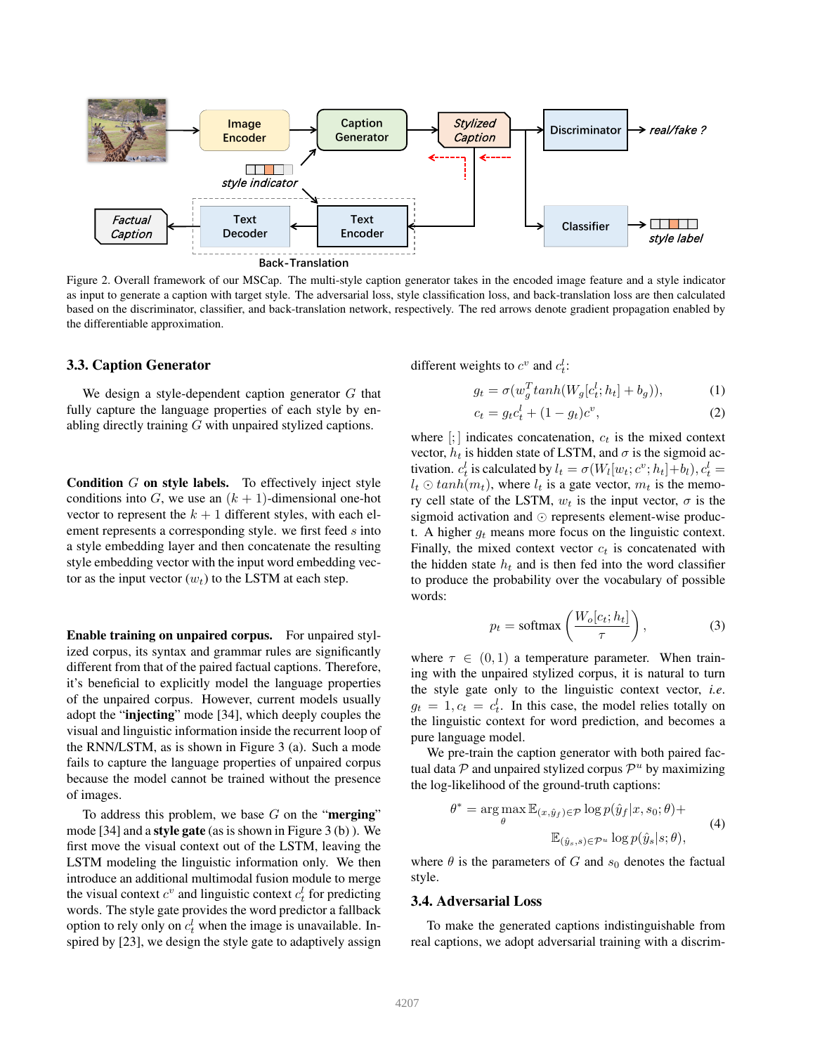

Figure 2. Overall framework of our MSCap. The multi-style caption generator takes in the encoded image feature and a style indicator as input to generate a caption with target style. The adversarial loss, style classification loss, and back-translation loss are then calculated based on the discriminator, classifier, and back-translation network, respectively. The red arrows denote gradient propagation enabled by the differentiable approximation.

#### 3.3. Caption Generator

We design a style-dependent caption generator  $G$  that fully capture the language properties of each style by enabling directly training G with unpaired stylized captions.

**Condition**  $G$  on style labels. To effectively inject style conditions into G, we use an  $(k + 1)$ -dimensional one-hot vector to represent the  $k + 1$  different styles, with each element represents a corresponding style. we first feed s into a style embedding layer and then concatenate the resulting style embedding vector with the input word embedding vector as the input vector  $(w_t)$  to the LSTM at each step.

Enable training on unpaired corpus. For unpaired stylized corpus, its syntax and grammar rules are significantly different from that of the paired factual captions. Therefore, it's beneficial to explicitly model the language properties of the unpaired corpus. However, current models usually adopt the "injecting" mode [34], which deeply couples the visual and linguistic information inside the recurrent loop of the RNN/LSTM, as is shown in Figure 3 (a). Such a mode fails to capture the language properties of unpaired corpus because the model cannot be trained without the presence of images.

To address this problem, we base  $G$  on the "**merging**" mode [34] and a style gate (as is shown in Figure 3 (b) ). We first move the visual context out of the LSTM, leaving the LSTM modeling the linguistic information only. We then introduce an additional multimodal fusion module to merge the visual context  $c^v$  and linguistic context  $c_t^l$  for predicting words. The style gate provides the word predictor a fallback option to rely only on  $c_t^l$  when the image is unavailable. Inspired by [23], we design the style gate to adaptively assign

different weights to  $c^v$  and  $c_t^l$ :

$$
g_t = \sigma(w_g^T \tanh(W_g[c_t^l; h_t] + b_g)), \tag{1}
$$

$$
c_t = g_t c_t^l + (1 - g_t)c^v,
$$
\n(2)

where  $[:,]$  indicates concatenation,  $c_t$  is the mixed context vector,  $h_t$  is hidden state of LSTM, and  $\sigma$  is the sigmoid activation.  $c_t^l$  is calculated by  $l_t = \sigma(W_l[w_t; c^v; h_t] + b_l), c_t^l =$  $l_t \odot \tanh(m_t)$ , where  $l_t$  is a gate vector,  $m_t$  is the memory cell state of the LSTM,  $w_t$  is the input vector,  $\sigma$  is the sigmoid activation and ⊙ represents element-wise product. A higher  $g_t$  means more focus on the linguistic context. Finally, the mixed context vector  $c_t$  is concatenated with the hidden state  $h_t$  and is then fed into the word classifier to produce the probability over the vocabulary of possible words:

$$
p_t = \text{softmax}\left(\frac{W_o[c_t; h_t]}{\tau}\right),\tag{3}
$$

where  $\tau \in (0, 1)$  a temperature parameter. When training with the unpaired stylized corpus, it is natural to turn the style gate only to the linguistic context vector, *i.e*.  $g_t = 1, c_t = c_t^l$ . In this case, the model relies totally on the linguistic context for word prediction, and becomes a pure language model.

We pre-train the caption generator with both paired factual data  $P$  and unpaired stylized corpus  $P^u$  by maximizing the log-likelihood of the ground-truth captions:

$$
\theta^* = \arg \max_{\theta} \mathbb{E}_{(x, \hat{y}_f) \in \mathcal{P}} \log p(\hat{y}_f | x, s_0; \theta) +
$$
  

$$
\mathbb{E}_{(\hat{y}_s, s) \in \mathcal{P}^u} \log p(\hat{y}_s | s; \theta),
$$
 (4)

where  $\theta$  is the parameters of G and  $s_0$  denotes the factual style.

#### 3.4. Adversarial Loss

To make the generated captions indistinguishable from real captions, we adopt adversarial training with a discrim-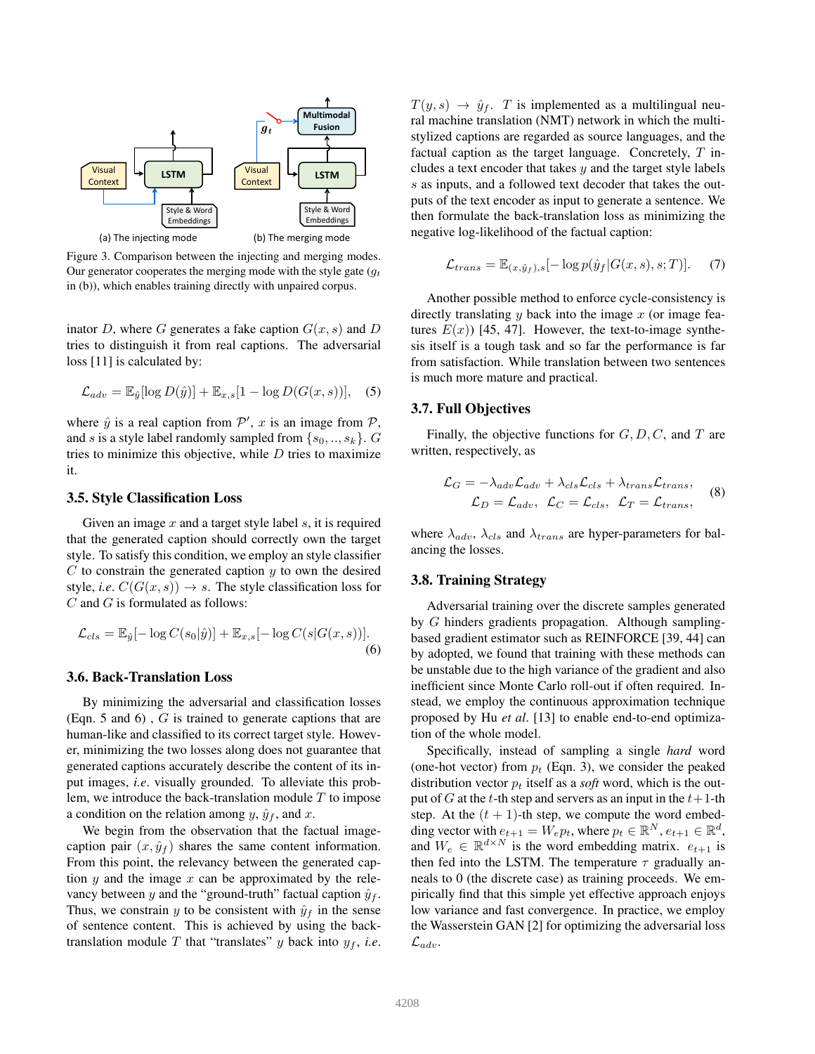

Figure 3. Comparison between the injecting and merging modes. Our generator cooperates the merging mode with the style gate  $(g_t)$ in (b)), which enables training directly with unpaired corpus.

inator D, where G generates a fake caption  $G(x, s)$  and D tries to distinguish it from real captions. The adversarial loss [11] is calculated by:

$$
\mathcal{L}_{adv} = \mathbb{E}_{\hat{y}}[\log D(\hat{y})] + \mathbb{E}_{x,s}[1 - \log D(G(x,s))], \quad (5)
$$

where  $\hat{y}$  is a real caption from  $\mathcal{P}'$ , x is an image from  $\mathcal{P}$ , and s is a style label randomly sampled from  $\{s_0, ..., s_k\}$ . G tries to minimize this objective, while  $D$  tries to maximize it.

#### 3.5. Style Classification Loss

Given an image  $x$  and a target style label  $s$ , it is required that the generated caption should correctly own the target style. To satisfy this condition, we employ an style classifier  $C$  to constrain the generated caption  $y$  to own the desired style, *i.e.*  $C(G(x, s)) \rightarrow s$ . The style classification loss for  $C$  and  $G$  is formulated as follows:

$$
\mathcal{L}_{cls} = \mathbb{E}_{\hat{y}}[-\log C(s_0|\hat{y})] + \mathbb{E}_{x,s}[-\log C(s|G(x,s))].
$$
\n(6)

#### 3.6. Back-Translation Loss

By minimizing the adversarial and classification losses (Eqn. 5 and 6) , G is trained to generate captions that are human-like and classified to its correct target style. However, minimizing the two losses along does not guarantee that generated captions accurately describe the content of its input images, *i.e*. visually grounded. To alleviate this problem, we introduce the back-translation module  $T$  to impose a condition on the relation among  $y$ ,  $\hat{y}_f$ , and x.

We begin from the observation that the factual imagecaption pair  $(x, \hat{y}_f)$  shares the same content information. From this point, the relevancy between the generated caption  $y$  and the image  $x$  can be approximated by the relevancy between y and the "ground-truth" factual caption  $\hat{y}_f$ . Thus, we constrain y to be consistent with  $\hat{y}_f$  in the sense of sentence content. This is achieved by using the backtranslation module T that "translates" y back into  $y_f$ , *i.e.*   $T(y, s) \rightarrow \hat{y}_f$ . T is implemented as a multilingual neural machine translation (NMT) network in which the multistylized captions are regarded as source languages, and the factual caption as the target language. Concretely,  $T$  includes a text encoder that takes  $y$  and the target style labels s as inputs, and a followed text decoder that takes the outputs of the text encoder as input to generate a sentence. We then formulate the back-translation loss as minimizing the negative log-likelihood of the factual caption:

$$
\mathcal{L}_{trans} = \mathbb{E}_{(x,\hat{y}_f),s}[-\log p(\hat{y}_f|G(x,s),s;T)].
$$
 (7)

Another possible method to enforce cycle-consistency is directly translating  $y$  back into the image  $x$  (or image features  $E(x)$ ) [45, 47]. However, the text-to-image synthesis itself is a tough task and so far the performance is far from satisfaction. While translation between two sentences is much more mature and practical.

### 3.7. Full Objectives

Finally, the objective functions for  $G, D, C$ , and  $T$  are written, respectively, as

$$
\mathcal{L}_G = -\lambda_{adv}\mathcal{L}_{adv} + \lambda_{cls}\mathcal{L}_{cls} + \lambda_{trans}\mathcal{L}_{trans},
$$
  

$$
\mathcal{L}_D = \mathcal{L}_{adv}, \ \mathcal{L}_C = \mathcal{L}_{cls}, \ \mathcal{L}_T = \mathcal{L}_{trans},
$$
 (8)

where  $\lambda_{adv}$ ,  $\lambda_{cls}$  and  $\lambda_{trans}$  are hyper-parameters for balancing the losses.

#### 3.8. Training Strategy

Adversarial training over the discrete samples generated by G hinders gradients propagation. Although samplingbased gradient estimator such as REINFORCE [39, 44] can by adopted, we found that training with these methods can be unstable due to the high variance of the gradient and also inefficient since Monte Carlo roll-out if often required. Instead, we employ the continuous approximation technique proposed by Hu *et al*. [13] to enable end-to-end optimization of the whole model.

Specifically, instead of sampling a single *hard* word (one-hot vector) from  $p_t$  (Eqn. 3), we consider the peaked distribution vector  $p_t$  itself as a *soft* word, which is the output of G at the t-th step and servers as an input in the  $t+1$ -th step. At the  $(t + 1)$ -th step, we compute the word embedding vector with  $e_{t+1} = W_e p_t$ , where  $p_t \in \mathbb{R}^N$ ,  $e_{t+1} \in \mathbb{R}^d$ , and  $W_e \in \mathbb{R}^{d \times N}$  is the word embedding matrix.  $e_{t+1}$  is then fed into the LSTM. The temperature  $\tau$  gradually anneals to 0 (the discrete case) as training proceeds. We empirically find that this simple yet effective approach enjoys low variance and fast convergence. In practice, we employ the Wasserstein GAN [2] for optimizing the adversarial loss  $\mathcal{L}_{adv}.$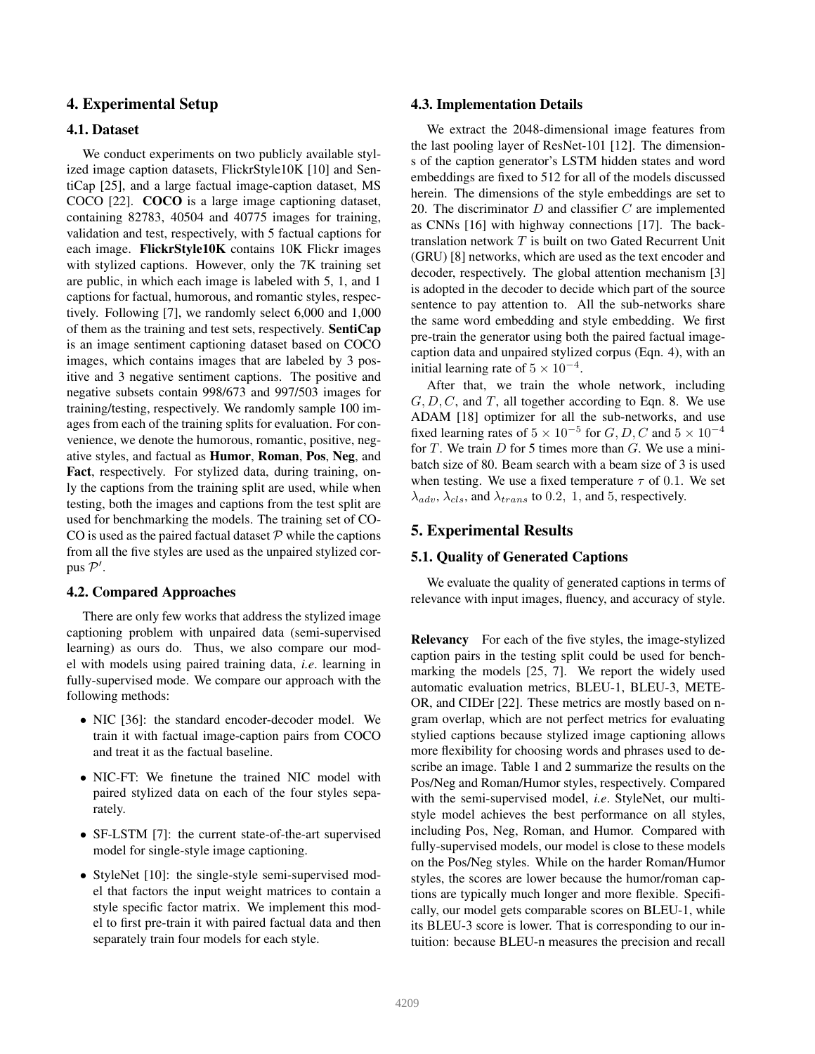## 4. Experimental Setup

## 4.1. Dataset

We conduct experiments on two publicly available stylized image caption datasets, FlickrStyle10K [10] and SentiCap [25], and a large factual image-caption dataset, MS COCO [22]. COCO is a large image captioning dataset, containing 82783, 40504 and 40775 images for training, validation and test, respectively, with 5 factual captions for each image. FlickrStyle10K contains 10K Flickr images with stylized captions. However, only the 7K training set are public, in which each image is labeled with 5, 1, and 1 captions for factual, humorous, and romantic styles, respectively. Following [7], we randomly select 6,000 and 1,000 of them as the training and test sets, respectively. SentiCap is an image sentiment captioning dataset based on COCO images, which contains images that are labeled by 3 positive and 3 negative sentiment captions. The positive and negative subsets contain 998/673 and 997/503 images for training/testing, respectively. We randomly sample 100 images from each of the training splits for evaluation. For convenience, we denote the humorous, romantic, positive, negative styles, and factual as Humor, Roman, Pos, Neg, and Fact, respectively. For stylized data, during training, only the captions from the training split are used, while when testing, both the images and captions from the test split are used for benchmarking the models. The training set of CO-CO is used as the paired factual dataset  $P$  while the captions from all the five styles are used as the unpaired stylized corpus  $\mathcal{P}'$ .

### 4.2. Compared Approaches

There are only few works that address the stylized image captioning problem with unpaired data (semi-supervised learning) as ours do. Thus, we also compare our model with models using paired training data, *i.e*. learning in fully-supervised mode. We compare our approach with the following methods:

- NIC [36]: the standard encoder-decoder model. We train it with factual image-caption pairs from COCO and treat it as the factual baseline.
- NIC-FT: We finetune the trained NIC model with paired stylized data on each of the four styles separately.
- SF-LSTM [7]: the current state-of-the-art supervised model for single-style image captioning.
- StyleNet [10]: the single-style semi-supervised model that factors the input weight matrices to contain a style specific factor matrix. We implement this model to first pre-train it with paired factual data and then separately train four models for each style.

#### 4.3. Implementation Details

We extract the 2048-dimensional image features from the last pooling layer of ResNet-101 [12]. The dimensions of the caption generator's LSTM hidden states and word embeddings are fixed to 512 for all of the models discussed herein. The dimensions of the style embeddings are set to 20. The discriminator  $D$  and classifier  $C$  are implemented as CNNs [16] with highway connections [17]. The backtranslation network T is built on two Gated Recurrent Unit (GRU) [8] networks, which are used as the text encoder and decoder, respectively. The global attention mechanism [3] is adopted in the decoder to decide which part of the source sentence to pay attention to. All the sub-networks share the same word embedding and style embedding. We first pre-train the generator using both the paired factual imagecaption data and unpaired stylized corpus (Eqn. 4), with an initial learning rate of  $5 \times 10^{-4}$ .

After that, we train the whole network, including  $G, D, C$ , and T, all together according to Eqn. 8. We use ADAM [18] optimizer for all the sub-networks, and use fixed learning rates of  $5 \times 10^{-5}$  for  $G, D, C$  and  $5 \times 10^{-4}$ for  $T$ . We train  $D$  for 5 times more than  $G$ . We use a minibatch size of 80. Beam search with a beam size of 3 is used when testing. We use a fixed temperature  $\tau$  of 0.1. We set  $\lambda_{adv}$ ,  $\lambda_{cls}$ , and  $\lambda_{trans}$  to 0.2, 1, and 5, respectively.

## 5. Experimental Results

#### 5.1. Quality of Generated Captions

We evaluate the quality of generated captions in terms of relevance with input images, fluency, and accuracy of style.

Relevancy For each of the five styles, the image-stylized caption pairs in the testing split could be used for benchmarking the models [25, 7]. We report the widely used automatic evaluation metrics, BLEU-1, BLEU-3, METE-OR, and CIDEr [22]. These metrics are mostly based on ngram overlap, which are not perfect metrics for evaluating stylied captions because stylized image captioning allows more flexibility for choosing words and phrases used to describe an image. Table 1 and 2 summarize the results on the Pos/Neg and Roman/Humor styles, respectively. Compared with the semi-supervised model, *i.e*. StyleNet, our multistyle model achieves the best performance on all styles, including Pos, Neg, Roman, and Humor. Compared with fully-supervised models, our model is close to these models on the Pos/Neg styles. While on the harder Roman/Humor styles, the scores are lower because the humor/roman captions are typically much longer and more flexible. Specifically, our model gets comparable scores on BLEU-1, while its BLEU-3 score is lower. That is corresponding to our intuition: because BLEU-n measures the precision and recall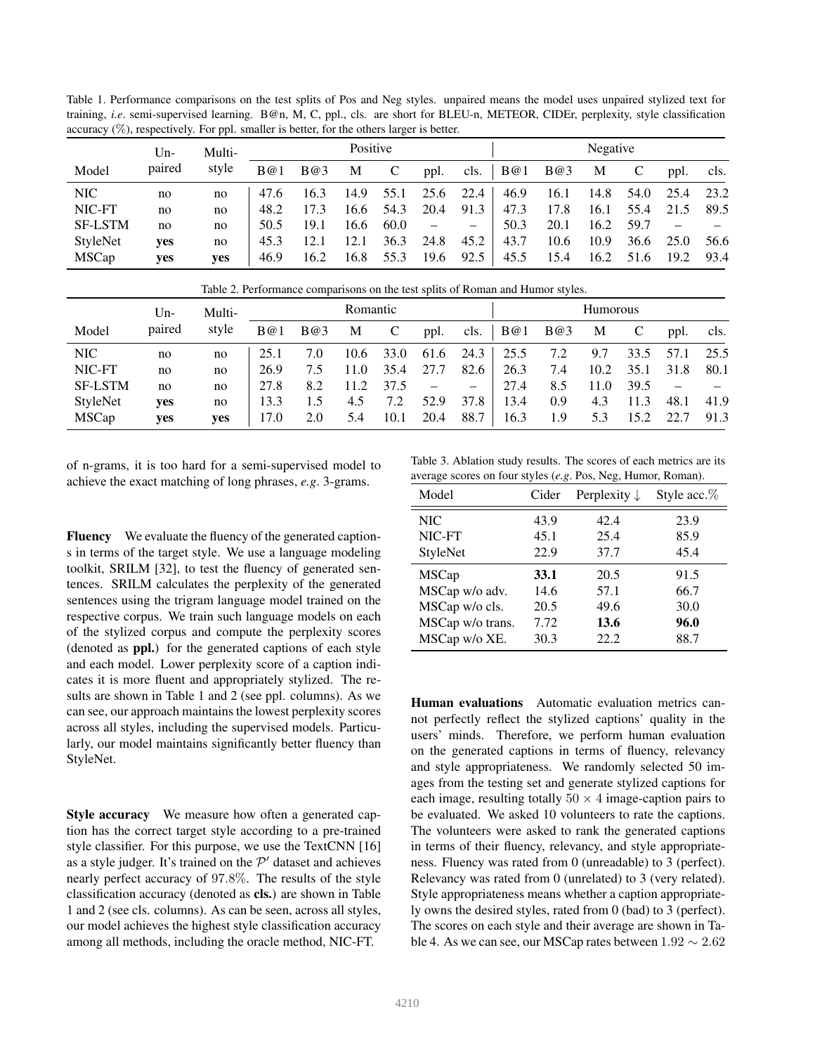Table 1. Performance comparisons on the test splits of Pos and Neg styles. unpaired means the model uses unpaired stylized text for training, *i.e*. semi-supervised learning. B@n, M, C, ppl., cls. are short for BLEU-n, METEOR, CIDEr, perplexity, style classification accuracy  $(\%)$ , respectively. For ppl. smaller is better, for the others larger is better.

|                | $Um-$      | Multi- |      |      | Positive |      |                          |                   |                 |             | Negative |      |           |      |
|----------------|------------|--------|------|------|----------|------|--------------------------|-------------------|-----------------|-------------|----------|------|-----------|------|
| Model          | paired     | style  | B(@) | B@3  | M        |      | ppl.                     |                   | cls. $\mid$ B@1 | <b>B</b> @3 | M        |      | ppl.      | cls. |
| NIC            | no         | no     | 47.6 | 16.3 | 14.9     | 55.1 |                          | $25.6$ 22.4       | 46.9            | 16.1        | 14.8     | 54.0 | 25.4 23.2 |      |
| NIC-FT         | no         | no     | 48.2 | 17.3 | 16.6     | 54.3 | 20.4                     | 91.3              | 47.3            | 17.8        | 16.1     | 55.4 | 21.5 89.5 |      |
| <b>SF-LSTM</b> | no         | no     | 50.5 | 19.1 | 16.6     | 60.0 | $\overline{\phantom{m}}$ | $\qquad \qquad -$ | 50.3            | 20.1        | 16.2     | 59.7 |           |      |
| StyleNet       | <b>ves</b> | no     | 45.3 | 12.1 | 12.1     | 36.3 | 24.8                     | 45.2              | 43.7            | 10.6        | 10.9     | 36.6 | 25.0      | 56.6 |
| <b>MSCap</b>   | <b>ves</b> | ves    | 46.9 | 16.2 | 16.8     | 55.3 | 19.6                     | 92.5              | 45.5            | 15.4        | 16.2     | 51.6 | 19.2      | 93.4 |

|                |        | Table 2. Ferformance comparisons on the test spills of Nomali and Humor styles. |          |     |      |          |      |                   |             |     |      |      |      |      |
|----------------|--------|---------------------------------------------------------------------------------|----------|-----|------|----------|------|-------------------|-------------|-----|------|------|------|------|
|                | $Un-$  | Multi-                                                                          | Romantic |     |      | Humorous |      |                   |             |     |      |      |      |      |
| Model          | paired | style                                                                           | B@1      | B@3 | М    |          | ppl. | cls.              | <b>B</b> @1 | B@3 | M    |      | ppl. | cls. |
| NIC            | no     | no                                                                              | 25.1     | 7.0 | 10.6 | 33.0     | 61.6 | 24.3              | 25.5        | 7.2 | 9.7  | 33.5 | 57.1 | 25.5 |
| NIC-FT         | no     | no                                                                              | 26.9     | 7.5 | 11.0 | 35.4     | 27.7 | 82.6              | 26.3        | 7.4 | 10.2 | 35.1 | 31.8 | 80.1 |
| <b>SF-LSTM</b> | no     | no                                                                              | 27.8     | 8.2 | 11.2 | 37.5     |      | $\qquad \qquad -$ | 27.4        | 8.5 | 11.0 | 39.5 |      |      |
| StyleNet       | yes    | no                                                                              | 13.3     | 1.5 | 4.5  | 7.2      | 52.9 | 37.8              | 13.4        | 0.9 | 4.3  | 11.3 | 48.1 | 41.9 |
| <b>MSCap</b>   | yes    | ves                                                                             | 17.0     | 2.0 | 5.4  | 10.1     | 20.4 | 88.7              | 16.3        | 1.9 | 5.3  | 15.2 | 22.7 | 91.3 |

Table 2. Performance comparisons on the test splits of Roman and Humor styles.

of n-grams, it is too hard for a semi-supervised model to achieve the exact matching of long phrases, *e.g*. 3-grams.

Fluency We evaluate the fluency of the generated captions in terms of the target style. We use a language modeling toolkit, SRILM [32], to test the fluency of generated sentences. SRILM calculates the perplexity of the generated sentences using the trigram language model trained on the respective corpus. We train such language models on each of the stylized corpus and compute the perplexity scores (denoted as ppl.) for the generated captions of each style and each model. Lower perplexity score of a caption indicates it is more fluent and appropriately stylized. The results are shown in Table 1 and 2 (see ppl. columns). As we can see, our approach maintains the lowest perplexity scores across all styles, including the supervised models. Particularly, our model maintains significantly better fluency than StyleNet.

Style accuracy We measure how often a generated caption has the correct target style according to a pre-trained style classifier. For this purpose, we use the TextCNN [16] as a style judger. It's trained on the  $\mathcal{P}'$  dataset and achieves nearly perfect accuracy of 97.8%. The results of the style classification accuracy (denoted as cls.) are shown in Table 1 and 2 (see cls. columns). As can be seen, across all styles, our model achieves the highest style classification accuracy among all methods, including the oracle method, NIC-FT.

Table 3. Ablation study results. The scores of each metrics are its average scores on four styles (*e.g*. Pos, Neg, Humor, Roman).

| Model            | Cider | Perplexity $\downarrow$ | Style acc.% |
|------------------|-------|-------------------------|-------------|
| <b>NIC</b>       | 43.9  | 42.4                    | 23.9        |
| NIC-FT           | 45.1  | 25.4                    | 85.9        |
| <b>StyleNet</b>  | 22.9  | 37.7                    | 45.4        |
| <b>MSCap</b>     | 33.1  | 20.5                    | 91.5        |
| MSCap w/o adv.   | 14.6  | 57.1                    | 66.7        |
| MSCap w/o cls.   | 20.5  | 49.6                    | 30.0        |
| MSCap w/o trans. | 7.72  | 13.6                    | 96.0        |
| MSCap w/o XE.    | 30.3  | 22.2                    | 88.7        |

Human evaluations Automatic evaluation metrics cannot perfectly reflect the stylized captions' quality in the users' minds. Therefore, we perform human evaluation on the generated captions in terms of fluency, relevancy and style appropriateness. We randomly selected 50 images from the testing set and generate stylized captions for each image, resulting totally  $50 \times 4$  image-caption pairs to be evaluated. We asked 10 volunteers to rate the captions. The volunteers were asked to rank the generated captions in terms of their fluency, relevancy, and style appropriateness. Fluency was rated from 0 (unreadable) to 3 (perfect). Relevancy was rated from 0 (unrelated) to 3 (very related). Style appropriateness means whether a caption appropriately owns the desired styles, rated from 0 (bad) to 3 (perfect). The scores on each style and their average are shown in Table 4. As we can see, our MSCap rates between  $1.92 \sim 2.62$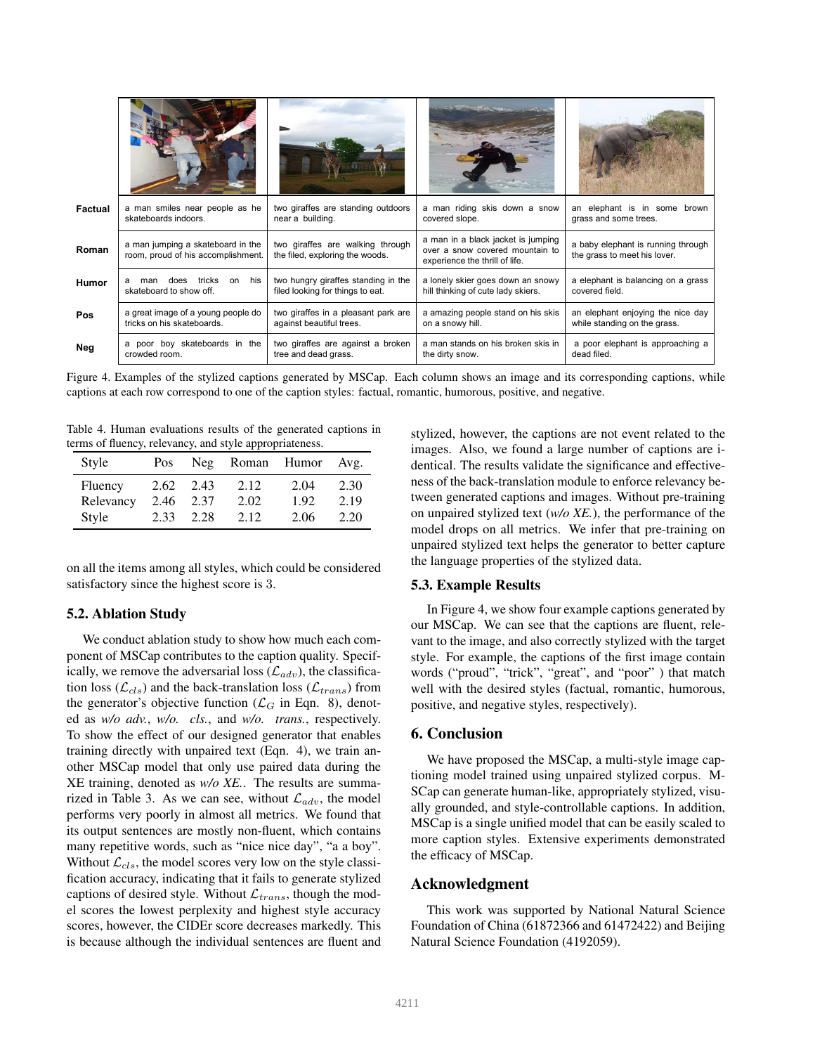| Factual      | a man smiles near people as he                                          | two giraffes are standing outdoors                                      | a man riding skis down a snow                                                                           | an elephant is in some brown                                       |
|--------------|-------------------------------------------------------------------------|-------------------------------------------------------------------------|---------------------------------------------------------------------------------------------------------|--------------------------------------------------------------------|
|              | skateboards indoors.                                                    | near a building.                                                        | covered slope.                                                                                          | grass and some trees.                                              |
| Roman        | a man jumping a skateboard in the<br>room, proud of his accomplishment. | two giraffes are walking through<br>the filed, exploring the woods.     | a man in a black jacket is jumping<br>over a snow covered mountain to<br>experience the thrill of life. | a baby elephant is running through<br>the grass to meet his lover. |
| <b>Humor</b> | his<br>tricks<br>on<br>does<br>man<br>skateboard to show off.           | two hungry giraffes standing in the<br>filed looking for things to eat. | a lonely skier goes down an snowy<br>hill thinking of cute lady skiers.                                 | a elephant is balancing on a grass<br>covered field.               |
| Pos          | a great image of a young people do                                      | two giraffes in a pleasant park are                                     | a amazing people stand on his skis                                                                      | an elephant enjoying the nice day                                  |
|              | tricks on his skateboards.                                              | against beautiful trees.                                                | on a snowy hill.                                                                                        | while standing on the grass.                                       |
| Neg          | a poor boy skateboards in the                                           | two giraffes are against a broken                                       | a man stands on his broken skis in                                                                      | a poor elephant is approaching a                                   |
|              | crowded room.                                                           | tree and dead grass.                                                    | the dirty snow.                                                                                         | dead filed.                                                        |

Figure 4. Examples of the stylized captions generated by MSCap. Each column shows an image and its corresponding captions, while captions at each row correspond to one of the caption styles: factual, romantic, humorous, positive, and negative.

Table 4. Human evaluations results of the generated captions in terms of fluency, relevancy, and style appropriateness.

| Style     | Pos  | Neg  | Roman Humor |      | Avg. |
|-----------|------|------|-------------|------|------|
| Fluency   | 2.62 | 2.43 | 2.12        | 2.04 | 2.30 |
| Relevancy | 2.46 | 2.37 | 2.02        | 1.92 | 2.19 |
| Style     | 2.33 | 2.28 | 2.12        | 2.06 | 2.20 |

on all the items among all styles, which could be considered satisfactory since the highest score is 3.

## 5.2. Ablation Study

We conduct ablation study to show how much each component of MSCap contributes to the caption quality. Specifically, we remove the adversarial loss  $(\mathcal{L}_{adv})$ , the classification loss ( $\mathcal{L}_{cls}$ ) and the back-translation loss ( $\mathcal{L}_{trans}$ ) from the generator's objective function ( $\mathcal{L}_G$  in Eqn. 8), denoted as *w/o adv.*, *w/o. cls.*, and *w/o. trans.*, respectively. To show the effect of our designed generator that enables training directly with unpaired text (Eqn. 4), we train another MSCap model that only use paired data during the XE training, denoted as *w/o XE.*. The results are summarized in Table 3. As we can see, without  $\mathcal{L}_{adv}$ , the model performs very poorly in almost all metrics. We found that its output sentences are mostly non-fluent, which contains many repetitive words, such as "nice nice day", "a a boy". Without  $\mathcal{L}_{cls}$ , the model scores very low on the style classification accuracy, indicating that it fails to generate stylized captions of desired style. Without  $\mathcal{L}_{trans}$ , though the model scores the lowest perplexity and highest style accuracy scores, however, the CIDEr score decreases markedly. This is because although the individual sentences are fluent and

stylized, however, the captions are not event related to the images. Also, we found a large number of captions are identical. The results validate the significance and effectiveness of the back-translation module to enforce relevancy between generated captions and images. Without pre-training on unpaired stylized text (*w/o XE.*), the performance of the model drops on all metrics. We infer that pre-training on unpaired stylized text helps the generator to better capture the language properties of the stylized data.

### 5.3. Example Results

In Figure 4, we show four example captions generated by our MSCap. We can see that the captions are fluent, relevant to the image, and also correctly stylized with the target style. For example, the captions of the first image contain words ("proud", "trick", "great", and "poor" ) that match well with the desired styles (factual, romantic, humorous, positive, and negative styles, respectively).

## 6. Conclusion

We have proposed the MSCap, a multi-style image captioning model trained using unpaired stylized corpus. M-SCap can generate human-like, appropriately stylized, visually grounded, and style-controllable captions. In addition, MSCap is a single unified model that can be easily scaled to more caption styles. Extensive experiments demonstrated the efficacy of MSCap.

## Acknowledgment

This work was supported by National Natural Science Foundation of China (61872366 and 61472422) and Beijing Natural Science Foundation (4192059).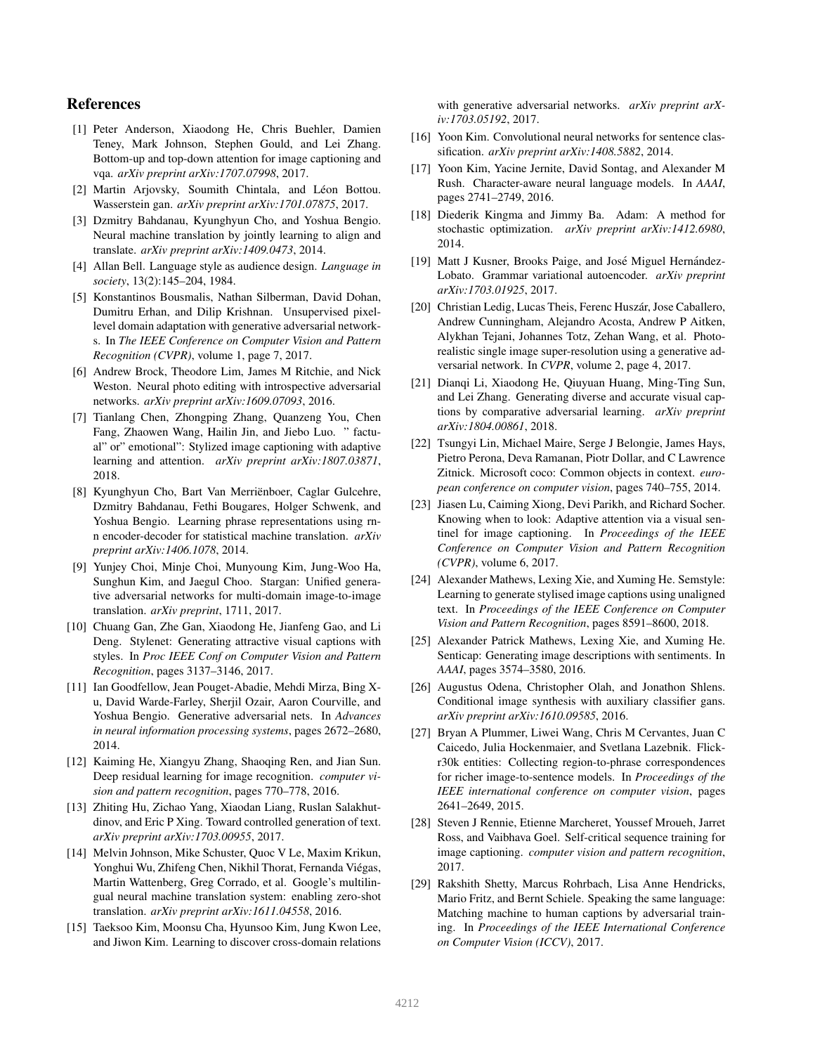## References

- [1] Peter Anderson, Xiaodong He, Chris Buehler, Damien Teney, Mark Johnson, Stephen Gould, and Lei Zhang. Bottom-up and top-down attention for image captioning and vqa. *arXiv preprint arXiv:1707.07998*, 2017.
- [2] Martin Arjovsky, Soumith Chintala, and Léon Bottou. Wasserstein gan. *arXiv preprint arXiv:1701.07875*, 2017.
- [3] Dzmitry Bahdanau, Kyunghyun Cho, and Yoshua Bengio. Neural machine translation by jointly learning to align and translate. *arXiv preprint arXiv:1409.0473*, 2014.
- [4] Allan Bell. Language style as audience design. *Language in society*, 13(2):145–204, 1984.
- [5] Konstantinos Bousmalis, Nathan Silberman, David Dohan, Dumitru Erhan, and Dilip Krishnan. Unsupervised pixellevel domain adaptation with generative adversarial networks. In *The IEEE Conference on Computer Vision and Pattern Recognition (CVPR)*, volume 1, page 7, 2017.
- [6] Andrew Brock, Theodore Lim, James M Ritchie, and Nick Weston. Neural photo editing with introspective adversarial networks. *arXiv preprint arXiv:1609.07093*, 2016.
- [7] Tianlang Chen, Zhongping Zhang, Quanzeng You, Chen Fang, Zhaowen Wang, Hailin Jin, and Jiebo Luo. " factual" or" emotional": Stylized image captioning with adaptive learning and attention. *arXiv preprint arXiv:1807.03871*, 2018.
- [8] Kyunghyun Cho, Bart Van Merriënboer, Caglar Gulcehre, Dzmitry Bahdanau, Fethi Bougares, Holger Schwenk, and Yoshua Bengio. Learning phrase representations using rnn encoder-decoder for statistical machine translation. *arXiv preprint arXiv:1406.1078*, 2014.
- [9] Yunjey Choi, Minje Choi, Munyoung Kim, Jung-Woo Ha, Sunghun Kim, and Jaegul Choo. Stargan: Unified generative adversarial networks for multi-domain image-to-image translation. *arXiv preprint*, 1711, 2017.
- [10] Chuang Gan, Zhe Gan, Xiaodong He, Jianfeng Gao, and Li Deng. Stylenet: Generating attractive visual captions with styles. In *Proc IEEE Conf on Computer Vision and Pattern Recognition*, pages 3137–3146, 2017.
- [11] Ian Goodfellow, Jean Pouget-Abadie, Mehdi Mirza, Bing Xu, David Warde-Farley, Sherjil Ozair, Aaron Courville, and Yoshua Bengio. Generative adversarial nets. In *Advances in neural information processing systems*, pages 2672–2680, 2014.
- [12] Kaiming He, Xiangyu Zhang, Shaoqing Ren, and Jian Sun. Deep residual learning for image recognition. *computer vision and pattern recognition*, pages 770–778, 2016.
- [13] Zhiting Hu, Zichao Yang, Xiaodan Liang, Ruslan Salakhutdinov, and Eric P Xing. Toward controlled generation of text. *arXiv preprint arXiv:1703.00955*, 2017.
- [14] Melvin Johnson, Mike Schuster, Quoc V Le, Maxim Krikun, Yonghui Wu, Zhifeng Chen, Nikhil Thorat, Fernanda Viegas, ´ Martin Wattenberg, Greg Corrado, et al. Google's multilingual neural machine translation system: enabling zero-shot translation. *arXiv preprint arXiv:1611.04558*, 2016.
- [15] Taeksoo Kim, Moonsu Cha, Hyunsoo Kim, Jung Kwon Lee, and Jiwon Kim. Learning to discover cross-domain relations

with generative adversarial networks. *arXiv preprint arXiv:1703.05192*, 2017.

- [16] Yoon Kim. Convolutional neural networks for sentence classification. *arXiv preprint arXiv:1408.5882*, 2014.
- [17] Yoon Kim, Yacine Jernite, David Sontag, and Alexander M Rush. Character-aware neural language models. In *AAAI*, pages 2741–2749, 2016.
- [18] Diederik Kingma and Jimmy Ba. Adam: A method for stochastic optimization. *arXiv preprint arXiv:1412.6980*, 2014.
- [19] Matt J Kusner, Brooks Paige, and José Miguel Hernández-Lobato. Grammar variational autoencoder. *arXiv preprint arXiv:1703.01925*, 2017.
- [20] Christian Ledig, Lucas Theis, Ferenc Huszár, Jose Caballero, Andrew Cunningham, Alejandro Acosta, Andrew P Aitken, Alykhan Tejani, Johannes Totz, Zehan Wang, et al. Photorealistic single image super-resolution using a generative adversarial network. In *CVPR*, volume 2, page 4, 2017.
- [21] Dianqi Li, Xiaodong He, Qiuyuan Huang, Ming-Ting Sun, and Lei Zhang. Generating diverse and accurate visual captions by comparative adversarial learning. *arXiv preprint arXiv:1804.00861*, 2018.
- [22] Tsungyi Lin, Michael Maire, Serge J Belongie, James Hays, Pietro Perona, Deva Ramanan, Piotr Dollar, and C Lawrence Zitnick. Microsoft coco: Common objects in context. *european conference on computer vision*, pages 740–755, 2014.
- [23] Jiasen Lu, Caiming Xiong, Devi Parikh, and Richard Socher. Knowing when to look: Adaptive attention via a visual sentinel for image captioning. In *Proceedings of the IEEE Conference on Computer Vision and Pattern Recognition (CVPR)*, volume 6, 2017.
- [24] Alexander Mathews, Lexing Xie, and Xuming He. Semstyle: Learning to generate stylised image captions using unaligned text. In *Proceedings of the IEEE Conference on Computer Vision and Pattern Recognition*, pages 8591–8600, 2018.
- [25] Alexander Patrick Mathews, Lexing Xie, and Xuming He. Senticap: Generating image descriptions with sentiments. In *AAAI*, pages 3574–3580, 2016.
- [26] Augustus Odena, Christopher Olah, and Jonathon Shlens. Conditional image synthesis with auxiliary classifier gans. *arXiv preprint arXiv:1610.09585*, 2016.
- [27] Bryan A Plummer, Liwei Wang, Chris M Cervantes, Juan C Caicedo, Julia Hockenmaier, and Svetlana Lazebnik. Flickr30k entities: Collecting region-to-phrase correspondences for richer image-to-sentence models. In *Proceedings of the IEEE international conference on computer vision*, pages 2641–2649, 2015.
- [28] Steven J Rennie, Etienne Marcheret, Youssef Mroueh, Jarret Ross, and Vaibhava Goel. Self-critical sequence training for image captioning. *computer vision and pattern recognition*, 2017.
- [29] Rakshith Shetty, Marcus Rohrbach, Lisa Anne Hendricks, Mario Fritz, and Bernt Schiele. Speaking the same language: Matching machine to human captions by adversarial training. In *Proceedings of the IEEE International Conference on Computer Vision (ICCV)*, 2017.